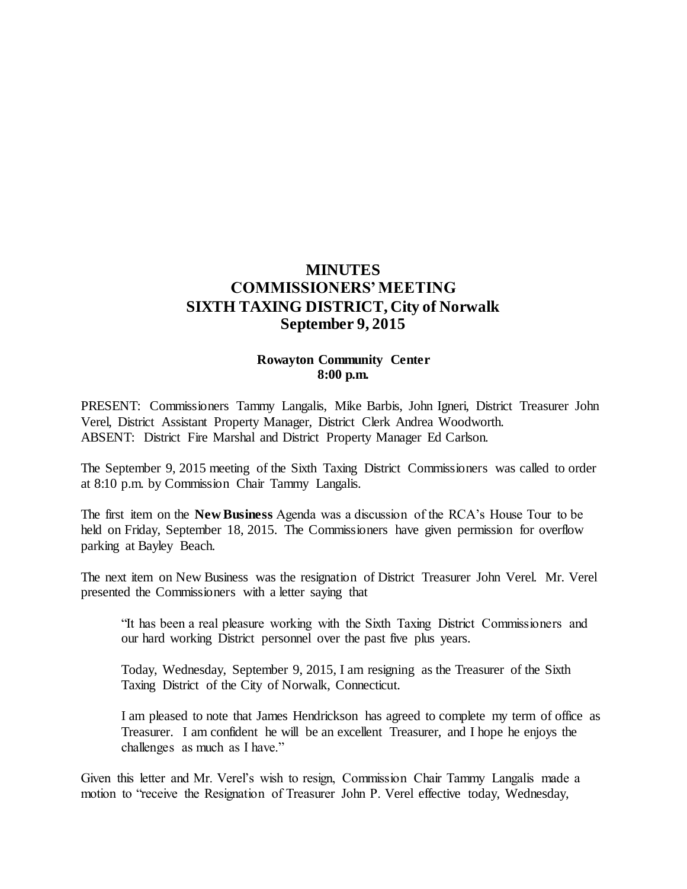# **MINUTES COMMISSIONERS' MEETING SIXTH TAXING DISTRICT, City of Norwalk September 9, 2015**

# **Rowayton Community Center 8:00 p.m.**

PRESENT: Commissioners Tammy Langalis, Mike Barbis, John Igneri, District Treasurer John Verel, District Assistant Property Manager, District Clerk Andrea Woodworth. ABSENT: District Fire Marshal and District Property Manager Ed Carlson.

The September 9, 2015 meeting of the Sixth Taxing District Commissioners was called to order at 8:10 p.m. by Commission Chair Tammy Langalis.

The first item on the **New Business** Agenda was a discussion of the RCA's House Tour to be held on Friday, September 18, 2015. The Commissioners have given permission for overflow parking at Bayley Beach.

The next item on New Business was the resignation of District Treasurer John Verel. Mr. Verel presented the Commissioners with a letter saying that

"It has been a real pleasure working with the Sixth Taxing District Commissioners and our hard working District personnel over the past five plus years.

Today, Wednesday, September 9, 2015, I am resigning as the Treasurer of the Sixth Taxing District of the City of Norwalk, Connecticut.

I am pleased to note that James Hendrickson has agreed to complete my term of office as Treasurer. I am confident he will be an excellent Treasurer, and I hope he enjoys the challenges as much as I have."

Given this letter and Mr. Verel's wish to resign, Commission Chair Tammy Langalis made a motion to "receive the Resignation of Treasurer John P. Verel effective today, Wednesday,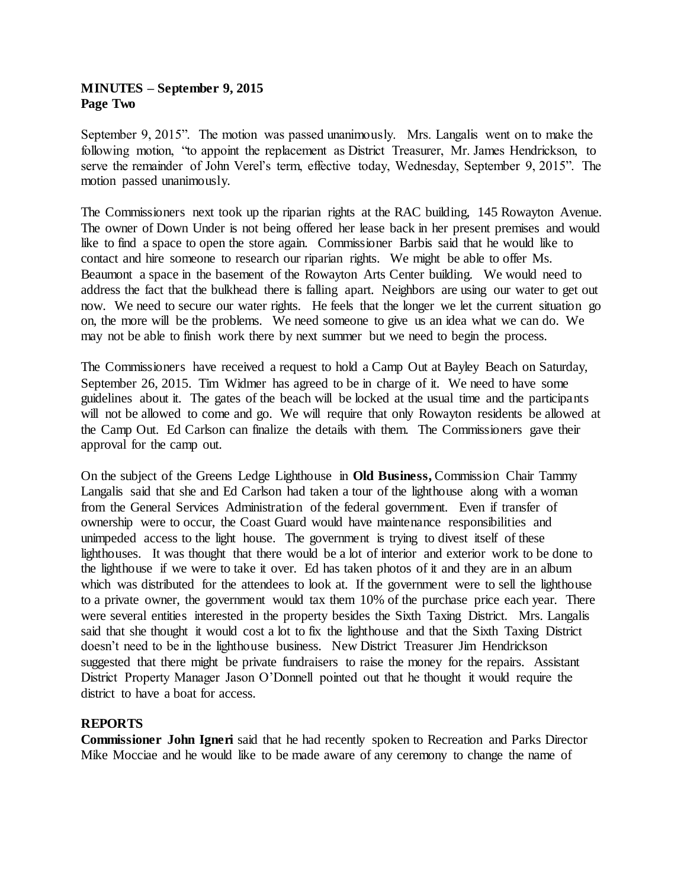# **MINUTES – September 9, 2015 Page Two**

September 9, 2015". The motion was passed unanimously. Mrs. Langalis went on to make the following motion, "to appoint the replacement as District Treasurer, Mr. James Hendrickson, to serve the remainder of John Verel's term, effective today, Wednesday, September 9, 2015". The motion passed unanimously.

The Commissioners next took up the riparian rights at the RAC building, 145 Rowayton Avenue. The owner of Down Under is not being offered her lease back in her present premises and would like to find a space to open the store again. Commissioner Barbis said that he would like to contact and hire someone to research our riparian rights. We might be able to offer Ms. Beaumont a space in the basement of the Rowayton Arts Center building. We would need to address the fact that the bulkhead there is falling apart. Neighbors are using our water to get out now. We need to secure our water rights. He feels that the longer we let the current situation go on, the more will be the problems. We need someone to give us an idea what we can do. We may not be able to finish work there by next summer but we need to begin the process.

The Commissioners have received a request to hold a Camp Out at Bayley Beach on Saturday, September 26, 2015. Tim Widmer has agreed to be in charge of it. We need to have some guidelines about it. The gates of the beach will be locked at the usual time and the participants will not be allowed to come and go. We will require that only Rowayton residents be allowed at the Camp Out. Ed Carlson can finalize the details with them. The Commissioners gave their approval for the camp out.

On the subject of the Greens Ledge Lighthouse in **Old Business,** Commission Chair Tammy Langalis said that she and Ed Carlson had taken a tour of the lighthouse along with a woman from the General Services Administration of the federal government. Even if transfer of ownership were to occur, the Coast Guard would have maintenance responsibilities and unimpeded access to the light house. The government is trying to divest itself of these lighthouses. It was thought that there would be a lot of interior and exterior work to be done to the lighthouse if we were to take it over. Ed has taken photos of it and they are in an album which was distributed for the attendees to look at. If the government were to sell the lighthouse to a private owner, the government would tax them 10% of the purchase price each year. There were several entities interested in the property besides the Sixth Taxing District. Mrs. Langalis said that she thought it would cost a lot to fix the lighthouse and that the Sixth Taxing District doesn't need to be in the lighthouse business. New District Treasurer Jim Hendrickson suggested that there might be private fundraisers to raise the money for the repairs. Assistant District Property Manager Jason O'Donnell pointed out that he thought it would require the district to have a boat for access.

# **REPORTS**

**Commissioner John Igneri** said that he had recently spoken to Recreation and Parks Director Mike Mocciae and he would like to be made aware of any ceremony to change the name of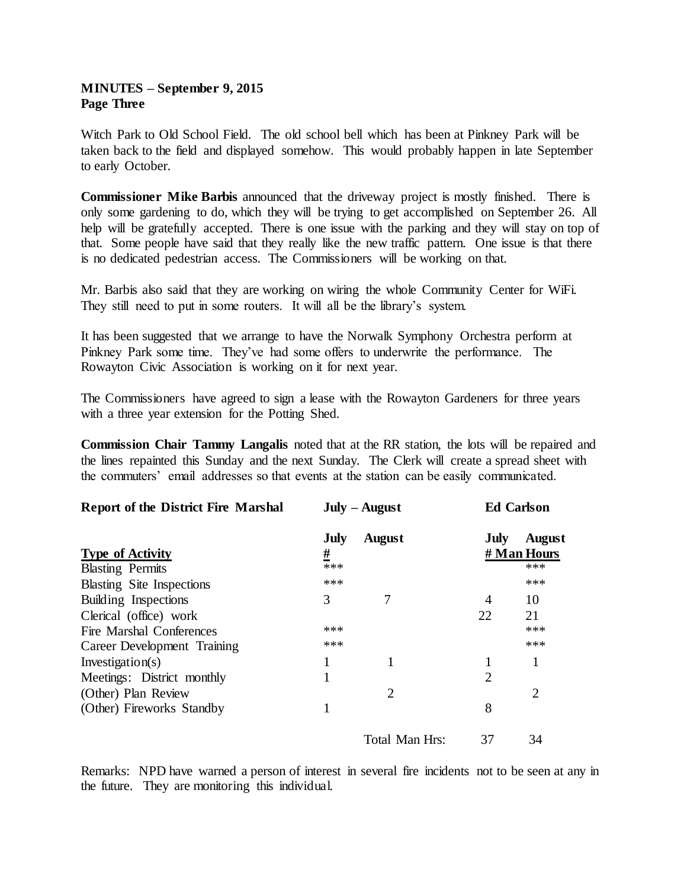# **MINUTES – September 9, 2015 Page Three**

Witch Park to Old School Field. The old school bell which has been at Pinkney Park will be taken back to the field and displayed somehow. This would probably happen in late September to early October.

**Commissioner Mike Barbis** announced that the driveway project is mostly finished. There is only some gardening to do, which they will be trying to get accomplished on September 26. All help will be gratefully accepted. There is one issue with the parking and they will stay on top of that. Some people have said that they really like the new traffic pattern. One issue is that there is no dedicated pedestrian access. The Commissioners will be working on that.

Mr. Barbis also said that they are working on wiring the whole Community Center for WiFi. They still need to put in some routers. It will all be the library's system.

It has been suggested that we arrange to have the Norwalk Symphony Orchestra perform at Pinkney Park some time. They've had some offers to underwrite the performance. The Rowayton Civic Association is working on it for next year.

The Commissioners have agreed to sign a lease with the Rowayton Gardeners for three years with a three year extension for the Potting Shed.

**Commission Chair Tammy Langalis** noted that at the RR station, the lots will be repaired and the lines repainted this Sunday and the next Sunday. The Clerk will create a spread sheet with the commuters' email addresses so that events at the station can be easily communicated.

| <b>Report of the District Fire Marshal</b> | $July - August$ |                | <b>Ed Carlson</b> |               |
|--------------------------------------------|-----------------|----------------|-------------------|---------------|
|                                            | July            | <b>August</b>  | July              | <b>August</b> |
| <b>Type of Activity</b>                    | <u>#</u>        |                | # Man Hours       |               |
| <b>Blasting Permits</b>                    | ***             |                |                   | ***           |
| <b>Blasting Site Inspections</b>           | ***             |                |                   | ***           |
| Building Inspections                       | 3               |                | 4                 | 10            |
| Clerical (office) work                     |                 |                | 22                | 21            |
| Fire Marshal Conferences                   | ***             |                |                   | ***           |
| Career Development Training                | ***             |                |                   | ***           |
| Investigation(s)                           |                 |                |                   | $\mathbf{1}$  |
| Meetings: District monthly                 |                 |                | $\overline{2}$    |               |
| (Other) Plan Review                        |                 | 2              |                   | 2             |
| (Other) Fireworks Standby                  |                 |                | 8                 |               |
|                                            |                 | Total Man Hrs: | 37                | 34            |

Remarks: NPD have warned a person of interest in several fire incidents not to be seen at any in the future. They are monitoring this individual.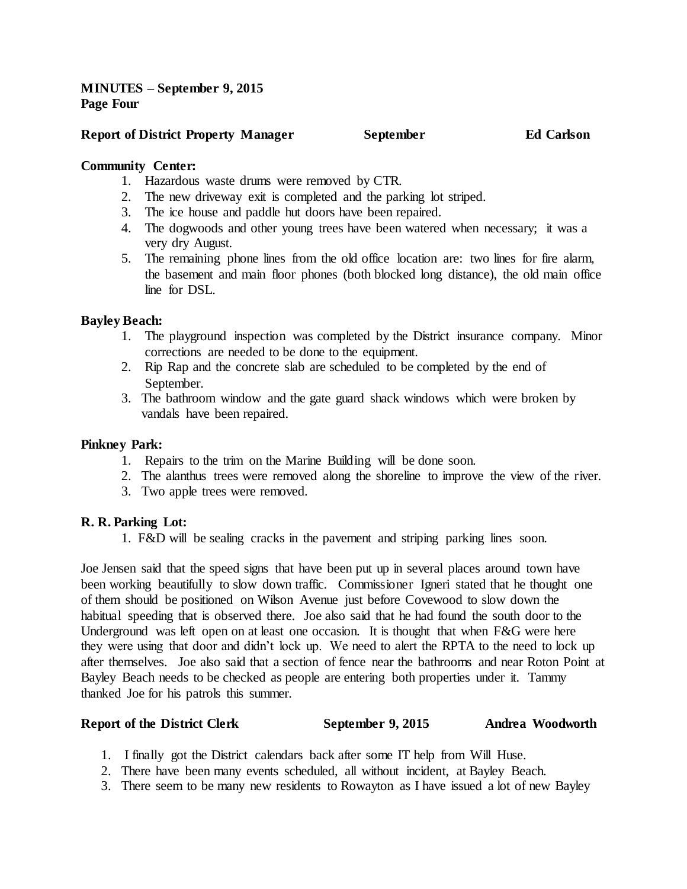**MINUTES – September 9, 2015 Page Four**

#### **Report of District Property Manager September Ed Carlson**

#### **Community Center:**

- 1. Hazardous waste drums were removed by CTR.
- 2. The new driveway exit is completed and the parking lot striped.
- 3. The ice house and paddle hut doors have been repaired.
- 4. The dogwoods and other young trees have been watered when necessary; it was a very dry August.
- 5. The remaining phone lines from the old office location are: two lines for fire alarm, the basement and main floor phones (both blocked long distance), the old main office line for DSL.

### **Bayley Beach:**

- 1. The playground inspection was completed by the District insurance company. Minor corrections are needed to be done to the equipment.
- 2. Rip Rap and the concrete slab are scheduled to be completed by the end of September.
- 3. The bathroom window and the gate guard shack windows which were broken by vandals have been repaired.

#### **Pinkney Park:**

- 1. Repairs to the trim on the Marine Building will be done soon.
- 2. The alanthus trees were removed along the shoreline to improve the view of the river.
- 3. Two apple trees were removed.

# **R. R. Parking Lot:**

1. F&D will be sealing cracks in the pavement and striping parking lines soon.

Joe Jensen said that the speed signs that have been put up in several places around town have been working beautifully to slow down traffic. Commissioner Igneri stated that he thought one of them should be positioned on Wilson Avenue just before Covewood to slow down the habitual speeding that is observed there. Joe also said that he had found the south door to the Underground was left open on at least one occasion. It is thought that when F&G were here they were using that door and didn't lock up. We need to alert the RPTA to the need to lock up after themselves. Joe also said that a section of fence near the bathrooms and near Roton Point at Bayley Beach needs to be checked as people are entering both properties under it. Tammy thanked Joe for his patrols this summer.

#### **Report of the District Clerk September 9, 2015 Andrea Woodworth**

- 1. I finally got the District calendars back after some IT help from Will Huse.
- 2. There have been many events scheduled, all without incident, at Bayley Beach.
- 3. There seem to be many new residents to Rowayton as I have issued a lot of new Bayley